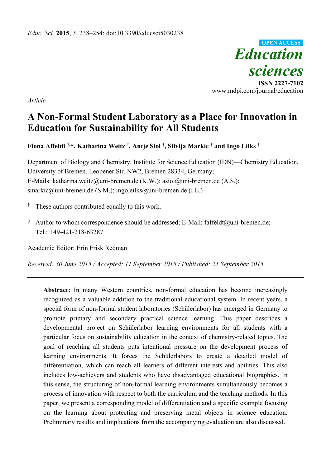

**ISSN 2227-7102** www.mdpi.com/journal/education

*Article*

# **A Non-Formal Student Laboratory as a Place for Innovation in Education for Sustainability for All Students**

**Fiona Affeldt †,\*, Katharina Weitz † , Antje Siol † , Silvija Markic † and Ingo Eilks †**

Department of Biology and Chemistry, Institute for Science Education (IDN)—Chemistry Education, University of Bremen, Leobener Str. NW2, Bremen 28334, Germany; E-Mails: katharina.weitz@uni-bremen.de (K.W.); asiol@uni-bremen.de (A.S.); smarkic@uni-bremen.de (S.M.); ingo.eilks@uni-bremen.de (I.E*.*)

- **†** These authors contributed equally to this work.
- **\*** Author to whom correspondence should be addressed; E-Mail: faffeldt@uni-bremen.de; Tel.: +49-421-218-63287.

Academic Editor: Erin Frisk Redman

*Received: 30 June 2015 / Accepted: 11 September 2015 / Published: 21 September 2015*

**Abstract:** In many Western countries, non-formal education has become increasingly recognized as a valuable addition to the traditional educational system. In recent years, a special form of non-formal student laboratories (Schülerlabor) has emerged in Germany to promote primary and secondary practical science learning. This paper describes a developmental project on Schülerlabor learning environments for all students with a particular focus on sustainability education in the context of chemistry-related topics. The goal of reaching all students puts intentional pressure on the development process of learning environments. It forces the Schülerlabors to create a detailed model of differentiation, which can reach all learners of different interests and abilities. This also includes low-achievers and students who have disadvantaged educational biographies. In this sense, the structuring of non-formal learning environments simultaneously becomes a process of innovation with respect to both the curriculum and the teaching methods. In this paper, we present a corresponding model of differentiation and a specific example focusing on the learning about protecting and preserving metal objects in science education. Preliminary results and implications from the accompanying evaluation are also discussed.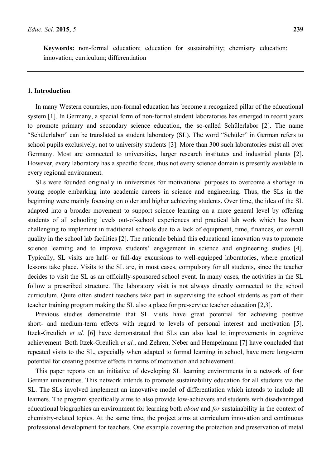**Keywords:** non-formal education; education for sustainability; chemistry education; innovation; curriculum; differentiation

#### **1. Introduction**

In many Western countries, non-formal education has become a recognized pillar of the educational system [1]. In Germany, a special form of non-formal student laboratories has emerged in recent years to promote primary and secondary science education, the so-called Schülerlabor [2]. The name "Schülerlabor" can be translated as student laboratory (SL). The word "Schüler" in German refers to school pupils exclusively, not to university students [3]. More than 300 such laboratories exist all over Germany. Most are connected to universities, larger research institutes and industrial plants [2]. However, every laboratory has a specific focus, thus not every science domain is presently available in every regional environment.

SLs were founded originally in universities for motivational purposes to overcome a shortage in young people embarking into academic careers in science and engineering. Thus, the SLs in the beginning were mainly focusing on older and higher achieving students. Over time, the idea of the SL adapted into a broader movement to support science learning on a more general level by offering students of all schooling levels out-of-school experiences and practical lab work which has been challenging to implement in traditional schools due to a lack of equipment, time, finances, or overall quality in the school lab facilities [2]. The rationale behind this educational innovation was to promote science learning and to improve students' engagement in science and engineering studies [4]. Typically, SL visits are half- or full-day excursions to well-equipped laboratories, where practical lessons take place. Visits to the SL are, in most cases, compulsory for all students, since the teacher decides to visit the SL as an officially-sponsored school event. In many cases, the activities in the SL follow a prescribed structure. The laboratory visit is not always directly connected to the school curriculum. Quite often student teachers take part in supervising the school students as part of their teacher training program making the SL also a place for pre-service teacher education [2,3].

Previous studies demonstrate that SL visits have great potential for achieving positive short- and medium-term effects with regard to levels of personal interest and motivation [5]. Itzek-Greulich *et al.* [6] have demonstrated that SLs can also lead to improvements in cognitive achievement. Both Itzek-Greulich *et al.*, and Zehren, Neber and Hempelmann [7] have concluded that repeated visits to the SL, especially when adapted to formal learning in school, have more long-term potential for creating positive effects in terms of motivation and achievement.

This paper reports on an initiative of developing SL learning environments in a network of four German universities. This network intends to promote sustainability education for all students via the SL. The SLs involved implement an innovative model of differentiation which intends to include all learners. The program specifically aims to also provide low-achievers and students with disadvantaged educational biographies an environment for learning both *about* and *for* sustainability in the context of chemistry-related topics. At the same time, the project aims at curriculum innovation and continuous professional development for teachers. One example covering the protection and preservation of metal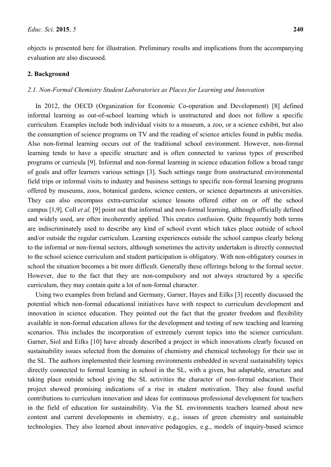objects is presented here for illustration. Preliminary results and implications from the accompanying evaluation are also discussed.

### **2. Background**

# *2.1. Non-Formal Chemistry Student Laboratories as Places for Learning and Innovation*

In 2012, the OECD (Organization for Economic Co-operation and Development) [8] defined informal learning as out-of-school learning which is unstructured and does not follow a specific curriculum. Examples include both individual visits to a museum, a zoo, or a science exhibit, but also the consumption of science programs on TV and the reading of science articles found in public media. Also non-formal learning occurs out of the traditional school environment. However, non-formal learning tends to have a specific structure and is often connected to various types of prescribed programs or curricula [9]. Informal and non-formal learning in science education follow a broad range of goals and offer learners various settings [3]. Such settings range from unstructured environmental field trips or informal visits to industry and business settings to specific non-formal learning programs offered by museums, zoos, botanical gardens, science centers, or science departments at universities. They can also encompass extra-curricular science lessons offered either on or off the school campus [1,9]. Coll *et al.* [9] point out that informal and non-formal learning, although officially defined and widely used, are often incoherently applied. This creates confusion. Quite frequently both terms are indiscriminately used to describe any kind of school event which takes place outside of school and/or outside the regular curriculum. Learning experiences outside the school campus clearly belong to the informal or non-formal sectors, although sometimes the activity undertaken is directly connected to the school science curriculum and student participation is obligatory. With non-obligatory courses in school the situation becomes a bit more difficult. Generally these offerings belong to the formal sector. However, due to the fact that they are non-compulsory and not always structured by a specific curriculum, they may contain quite a lot of non-formal character.

Using two examples from Ireland and Germany, Garner, Hayes and Eilks [3] recently discussed the potential which non-formal educational initiatives have with respect to curriculum development and innovation in science education. They pointed out the fact that the greater freedom and flexibility available in non-formal education allows for the development and testing of new teaching and learning scenarios. This includes the incorporation of extremely current topics into the science curriculum. Garner, Siol and Eilks [10] have already described a project in which innovations clearly focused on sustainability issues selected from the domains of chemistry and chemical technology for their use in the SL. The authors implemented their learning environments embedded in several sustainability topics directly connected to formal learning in school in the SL, with a given, but adaptable, structure and taking place outside school giving the SL activities the character of non-formal education. Their project showed promising indications of a rise in student motivation. They also found useful contributions to curriculum innovation and ideas for continuous professional development for teachers in the field of education for sustainability. Via the SL environments teachers learned about new content and current developments in chemistry, e.g., issues of green chemistry and sustainable technologies. They also learned about innovative pedagogies, e.g., models of inquiry-based science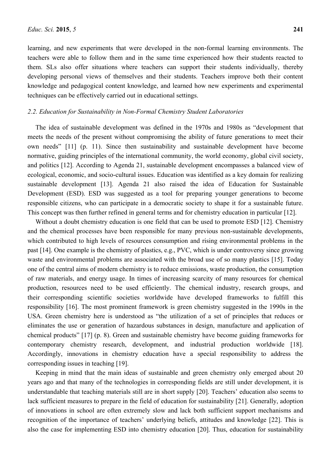learning, and new experiments that were developed in the non-formal learning environments. The teachers were able to follow them and in the same time experienced how their students reacted to them. SLs also offer situations where teachers can support their students individually, thereby developing personal views of themselves and their students. Teachers improve both their content knowledge and pedagogical content knowledge, and learned how new experiments and experimental techniques can be effectively carried out in educational settings.

#### *2.2. Education for Sustainability in Non-Formal Chemistry Student Laboratories*

The idea of sustainable development was defined in the 1970s and 1980s as "development that meets the needs of the present without compromising the ability of future generations to meet their own needs" [11] (p. 11). Since then sustainability and sustainable development have become normative, guiding principles of the international community, the world economy, global civil society, and politics [12]. According to Agenda 21, sustainable development encompasses a balanced view of ecological, economic, and socio-cultural issues. Education was identified as a key domain for realizing sustainable development [13]. Agenda 21 also raised the idea of Education for Sustainable Development (ESD). ESD was suggested as a tool for preparing younger generations to become responsible citizens, who can participate in a democratic society to shape it for a sustainable future. This concept was then further refined in general terms and for chemistry education in particular [12].

Without a doubt chemistry education is one field that can be used to promote ESD [12]. Chemistry and the chemical processes have been responsible for many previous non-sustainable developments, which contributed to high levels of resources consumption and rising environmental problems in the past [14]. One example is the chemistry of plastics, e.g., PVC, which is under controversy since growing waste and environmental problems are associated with the broad use of so many plastics [15]. Today one of the central aims of modern chemistry is to reduce emissions, waste production, the consumption of raw materials, and energy usage. In times of increasing scarcity of many resources for chemical production, resources need to be used efficiently. The chemical industry, research groups, and their corresponding scientific societies worldwide have developed frameworks to fulfill this responsibility [16]. The most prominent framework is green chemistry suggested in the 1990s in the USA. Green chemistry here is understood as "the utilization of a set of principles that reduces or eliminates the use or generation of hazardous substances in design, manufacture and application of chemical products" [17] (p. 8). Green and sustainable chemistry have become guiding frameworks for contemporary chemistry research, development, and industrial production worldwide [18]. Accordingly, innovations in chemistry education have a special responsibility to address the corresponding issues in teaching [19].

Keeping in mind that the main ideas of sustainable and green chemistry only emerged about 20 years ago and that many of the technologies in corresponding fields are still under development, it is understandable that teaching materials still are in short supply [20]. Teachers' education also seems to lack sufficient measures to prepare in the field of education for sustainability [21]. Generally, adoption of innovations in school are often extremely slow and lack both sufficient support mechanisms and recognition of the importance of teachers' underlying beliefs, attitudes and knowledge [22]. This is also the case for implementing ESD into chemistry education [20]. Thus, education for sustainability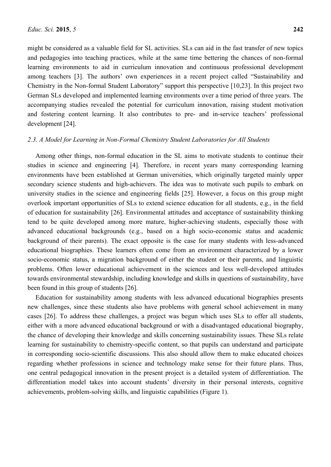might be considered as a valuable field for SL activities. SLs can aid in the fast transfer of new topics and pedagogies into teaching practices, while at the same time bettering the chances of non-formal learning environments to aid in curriculum innovation and continuous professional development among teachers [3]. The authors' own experiences in a recent project called "Sustainability and Chemistry in the Non-formal Student Laboratory" support this perspective [10,23]. In this project two German SLs developed and implemented learning environments over a time period of three years. The accompanying studies revealed the potential for curriculum innovation, raising student motivation and fostering content learning. It also contributes to pre- and in-service teachers' professional development [24].

# *2.3. A Model for Learning in Non-Formal Chemistry Student Laboratories for All Students*

Among other things, non-formal education in the SL aims to motivate students to continue their studies in science and engineering [4]. Therefore, in recent years many corresponding learning environments have been established at German universities, which originally targeted mainly upper secondary science students and high-achievers. The idea was to motivate such pupils to embark on university studies in the science and engineering fields [25]. However, a focus on this group might overlook important opportunities of SLs to extend science education for all students, e.g., in the field of education for sustainability [26]. Environmental attitudes and acceptance of sustainability thinking tend to be quite developed among more mature, higher-achieving students, especially those with advanced educational backgrounds (e.g., based on a high socio-economic status and academic background of their parents). The exact opposite is the case for many students with less-advanced educational biographies. These learners often come from an environment characterized by a lower socio-economic status, a migration background of either the student or their parents, and linguistic problems. Often lower educational achievement in the sciences and less well-developed attitudes towards environmental stewardship, including knowledge and skills in questions of sustainability, have been found in this group of students [26].

Education for sustainability among students with less advanced educational biographies presents new challenges, since these students also have problems with general school achievement in many cases [26]. To address these challenges, a project was begun which uses SLs to offer all students, either with a more advanced educational background or with a disadvantaged educational biography, the chance of developing their knowledge and skills concerning sustainability issues. These SLs relate learning for sustainability to chemistry-specific content, so that pupils can understand and participate in corresponding socio-scientific discussions. This also should allow them to make educated choices regarding whether professions in science and technology make sense for their future plans. Thus, one central pedagogical innovation in the present project is a detailed system of differentiation. The differentiation model takes into account students' diversity in their personal interests, cognitive achievements, problem-solving skills, and linguistic capabilities (Figure 1).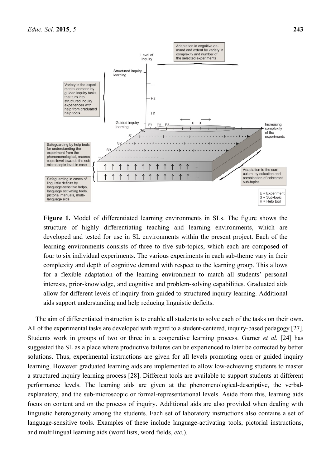

**Figure 1.** Model of differentiated learning environments in SLs. The figure shows the structure of highly differentiating teaching and learning environments, which are developed and tested for use in SL environments within the present project. Each of the learning environments consists of three to five sub-topics, which each are composed of four to six individual experiments. The various experiments in each sub-theme vary in their complexity and depth of cognitive demand with respect to the learning group. This allows for a flexible adaptation of the learning environment to match all students' personal interests, prior-knowledge, and cognitive and problem-solving capabilities. Graduated aids allow for different levels of inquiry from guided to structured inquiry learning. Additional aids support understanding and help reducing linguistic deficits.

The aim of differentiated instruction is to enable all students to solve each of the tasks on their own. All of the experimental tasks are developed with regard to a student-centered, inquiry-based pedagogy [27]. Students work in groups of two or three in a cooperative learning process. Garner *et al.* [24] has suggested the SL as a place where productive failures can be experienced to later be corrected by better solutions. Thus, experimental instructions are given for all levels promoting open or guided inquiry learning. However graduated learning aids are implemented to allow low-achieving students to master a structured inquiry learning process [28]. Different tools are available to support students at different performance levels. The learning aids are given at the phenomenological-descriptive, the verbalexplanatory, and the sub-microscopic or formal-representational levels. Aside from this, learning aids focus on content and on the process of inquiry. Additional aids are also provided when dealing with linguistic heterogeneity among the students. Each set of laboratory instructions also contains a set of language-sensitive tools. Examples of these include language-activating tools, pictorial instructions, and multilingual learning aids (word lists, word fields, *etc.*).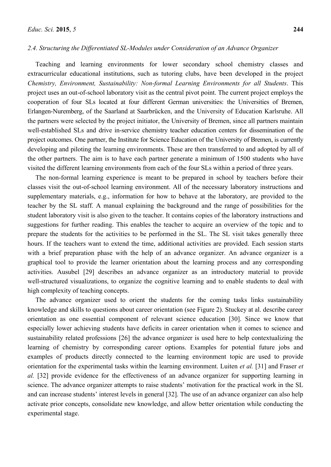#### *2.4. Structuring the Differentiated SL-Modules under Consideration of an Advance Organizer*

Teaching and learning environments for lower secondary school chemistry classes and extracurricular educational institutions, such as tutoring clubs, have been developed in the project *Chemistry, Environment, Sustainability: Non-formal Learning Environments for all Students*. This project uses an out-of-school laboratory visit as the central pivot point. The current project employs the cooperation of four SLs located at four different German universities: the Universities of Bremen, Erlangen-Nuremberg, of the Saarland at Saarbrücken, and the University of Education Karlsruhe. All the partners were selected by the project initiator, the University of Bremen, since all partners maintain well-established SLs and drive in-service chemistry teacher education centers for dissemination of the project outcomes. One partner, the Institute for Science Education of the University of Bremen, is currently developing and piloting the learning environments. These are then transferred to and adopted by all of the other partners. The aim is to have each partner generate a minimum of 1500 students who have visited the different learning environments from each of the four SLs within a period of three years.

The non-formal learning experience is meant to be prepared in school by teachers before their classes visit the out-of-school learning environment. All of the necessary laboratory instructions and supplementary materials, e.g., information for how to behave at the laboratory, are provided to the teacher by the SL staff. A manual explaining the background and the range of possibilities for the student laboratory visit is also given to the teacher. It contains copies of the laboratory instructions and suggestions for further reading. This enables the teacher to acquire an overview of the topic and to prepare the students for the activities to be performed in the SL. The SL visit takes generally three hours. If the teachers want to extend the time, additional activities are provided. Each session starts with a brief preparation phase with the help of an advance organizer. An advance organizer is a graphical tool to provide the learner orientation about the learning process and any corresponding activities. Ausubel [29] describes an advance organizer as an introductory material to provide well-structured visualizations, to organize the cognitive learning and to enable students to deal with high complexity of teaching concepts.

The advance organizer used to orient the students for the coming tasks links sustainability knowledge and skills to questions about career orientation (see Figure 2). Stuckey at al. describe career orientation as one essential component of relevant science education [30]. Since we know that especially lower achieving students have deficits in career orientation when it comes to science and sustainability related professions [26] the advance organizer is used here to help contextualizing the learning of chemistry by corresponding career options. Examples for potential future jobs and examples of products directly connected to the learning environment topic are used to provide orientation for the experimental tasks within the learning environment. Luiten *et al.* [31] and Fraser *et al.* [32] provide evidence for the effectiveness of an advance organizer for supporting learning in science. The advance organizer attempts to raise students' motivation for the practical work in the SL and can increase students' interest levels in general [32]. The use of an advance organizer can also help activate prior concepts, consolidate new knowledge, and allow better orientation while conducting the experimental stage.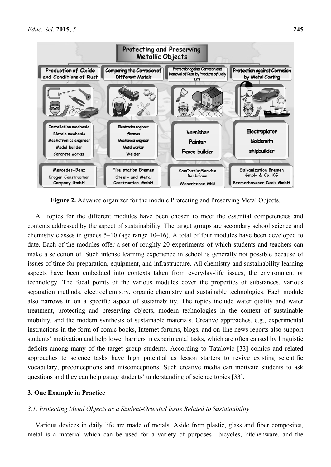

**Figure 2.** Advance organizer for the module Protecting and Preserving Metal Objects.

All topics for the different modules have been chosen to meet the essential competencies and contents addressed by the aspect of sustainability. The target groups are secondary school science and chemistry classes in grades 5–10 (age range 10–16). A total of four modules have been developed to date. Each of the modules offer a set of roughly 20 experiments of which students and teachers can make a selection of. Such intense learning experience in school is generally not possible because of issues of time for preparation, equipment, and infrastructure. All chemistry and sustainability learning aspects have been embedded into contexts taken from everyday-life issues, the environment or technology. The focal points of the various modules cover the properties of substances, various separation methods, electrochemistry, organic chemistry and sustainable technologies. Each module also narrows in on a specific aspect of sustainability. The topics include water quality and water treatment, protecting and preserving objects, modern technologies in the context of sustainable mobility, and the modern synthesis of sustainable materials. Creative approaches, e.g., experimental instructions in the form of comic books, Internet forums, blogs, and on-line news reports also support students' motivation and help lower barriers in experimental tasks, which are often caused by linguistic deficits among many of the target group students. According to Tatalovic [33] comics and related approaches to science tasks have high potential as lesson starters to revive existing scientific vocabulary, preconceptions and misconceptions. Such creative media can motivate students to ask questions and they can help gauge students' understanding of science topics [33].

# **3. One Example in Practice**

# *3.1. Protecting Metal Objects as a Student-Oriented Issue Related to Sustainability*

Various devices in daily life are made of metals. Aside from plastic, glass and fiber composites, metal is a material which can be used for a variety of purposes—bicycles, kitchenware, and the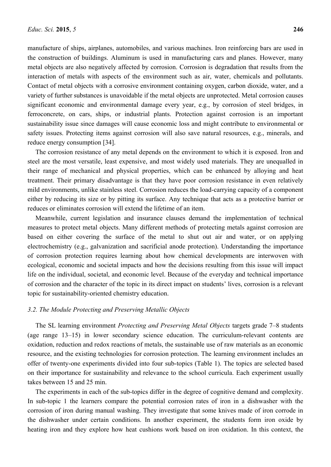manufacture of ships, airplanes, automobiles, and various machines. Iron reinforcing bars are used in the construction of buildings. Aluminum is used in manufacturing cars and planes. However, many metal objects are also negatively affected by corrosion. Corrosion is degradation that results from the interaction of metals with aspects of the environment such as air, water, chemicals and pollutants. Contact of metal objects with a corrosive environment containing oxygen, carbon dioxide, water, and a variety of further substances is unavoidable if the metal objects are unprotected. Metal corrosion causes significant economic and environmental damage every year, e.g., by corrosion of steel bridges, in ferroconcrete, on cars, ships, or industrial plants. Protection against corrosion is an important sustainability issue since damages will cause economic loss and might contribute to environmental or safety issues. Protecting items against corrosion will also save natural resources, e.g., minerals, and reduce energy consumption [34].

The corrosion resistance of any metal depends on the environment to which it is exposed. Iron and steel are the most versatile, least expensive, and most widely used materials. They are unequalled in their range of mechanical and physical properties, which can be enhanced by alloying and heat treatment. Their primary disadvantage is that they have poor corrosion resistance in even relatively mild environments, unlike stainless steel. Corrosion reduces the load-carrying capacity of a component either by reducing its size or by pitting its surface. Any technique that acts as a protective barrier or reduces or eliminates corrosion will extend the lifetime of an item.

Meanwhile, current legislation and insurance clauses demand the implementation of technical measures to protect metal objects. Many different methods of protecting metals against corrosion are based on either covering the surface of the metal to shut out air and water, or on applying electrochemistry (e.g., galvanization and sacrificial anode protection). Understanding the importance of corrosion protection requires learning about how chemical developments are interwoven with ecological, economic and societal impacts and how the decisions resulting from this issue will impact life on the individual, societal, and economic level. Because of the everyday and technical importance of corrosion and the character of the topic in its direct impact on students' lives, corrosion is a relevant topic for sustainability-oriented chemistry education.

#### *3.2. The Module Protecting and Preserving Metallic Objects*

The SL learning environment *Protecting and Preserving Metal Objects* targets grade 7–8 students (age range 13–15) in lower secondary science education. The curriculum-relevant contents are oxidation, reduction and redox reactions of metals, the sustainable use of raw materials as an economic resource, and the existing technologies for corrosion protection. The learning environment includes an offer of twenty-one experiments divided into four sub-topics (Table 1). The topics are selected based on their importance for sustainability and relevance to the school curricula. Each experiment usually takes between 15 and 25 min.

The experiments in each of the sub-topics differ in the degree of cognitive demand and complexity. In sub-topic 1 the learners compare the potential corrosion rates of iron in a dishwasher with the corrosion of iron during manual washing. They investigate that some knives made of iron corrode in the dishwasher under certain conditions. In another experiment, the students form iron oxide by heating iron and they explore how heat cushions work based on iron oxidation. In this context, the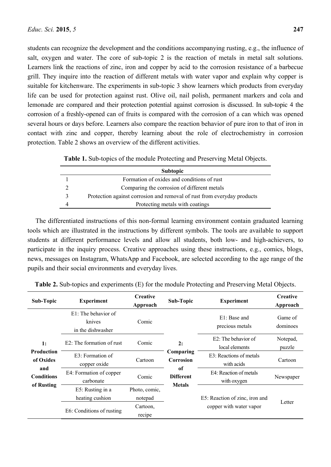students can recognize the development and the conditions accompanying rusting, e.g., the influence of salt, oxygen and water. The core of sub-topic 2 is the reaction of metals in metal salt solutions. Learners link the reactions of zinc, iron and copper by acid to the corrosion resistance of a barbecue grill. They inquire into the reaction of different metals with water vapor and explain why copper is suitable for kitchenware. The experiments in sub-topic 3 show learners which products from everyday life can be used for protection against rust. Olive oil, nail polish, permanent markers and cola and lemonade are compared and their protection potential against corrosion is discussed. In sub-topic 4 the corrosion of a freshly-opened can of fruits is compared with the corrosion of a can which was opened several hours or days before. Learners also compare the reaction behavior of pure iron to that of iron in contact with zinc and copper, thereby learning about the role of electrochemistry in corrosion protection. Table 2 shows an overview of the different activities.

| <b>Subtopic</b>                                                         |
|-------------------------------------------------------------------------|
| Formation of oxides and conditions of rust                              |
| Comparing the corrosion of different metals                             |
| Protection against corrosion and removal of rust from everyday products |
| Protecting metals with coatings                                         |

**Table 1.** Sub-topics of the module Protecting and Preserving Metal Objects.

The differentiated instructions of this non-formal learning environment contain graduated learning tools which are illustrated in the instructions by different symbols. The tools are available to support students at different performance levels and allow all students, both low- and high-achievers, to participate in the inquiry process. Creative approaches using these instructions, e.g., comics, blogs, news, messages on Instagram, WhatsApp and Facebook, are selected according to the age range of the pupils and their social environments and everyday lives.

| <b>Sub-Topic</b>                                                               | <b>Experiment</b>                                     | Creative<br>Approach     | Sub-Topic                                                               | <b>Experiment</b>                        | Creative<br>Approach |
|--------------------------------------------------------------------------------|-------------------------------------------------------|--------------------------|-------------------------------------------------------------------------|------------------------------------------|----------------------|
| 1:<br><b>Production</b><br>of Oxides<br>and<br><b>Conditions</b><br>of Rusting | $E1$ : The behavior of<br>knives<br>in the dishwasher | Comic                    | 2:<br>Comparing<br>Corrosion<br>of<br><b>Different</b><br><b>Metals</b> | E1: Base and<br>precious metals          | Game of<br>dominoes  |
|                                                                                | E2: The formation of rust                             | Comic                    |                                                                         | $E2$ : The behavior of<br>local elements | Notepad,<br>puzzle   |
|                                                                                | E3: Formation of<br>copper oxide                      | Cartoon                  |                                                                         | E3: Reactions of metals<br>with acids    | Cartoon              |
|                                                                                | E4: Formation of copper<br>carbonate                  | Comic                    |                                                                         | F4: Reaction of metals<br>with oxygen    | Newspaper            |
|                                                                                | E5: Rusting in a<br>heating cushion                   | Photo, comic,<br>notepad |                                                                         | E5: Reaction of zinc, iron and           | Letter               |
|                                                                                | Cartoon.<br>E6: Conditions of rusting<br>recipe       |                          | copper with water vapor                                                 |                                          |                      |

**Table 2.** Sub-topics and experiments (E) for the module Protecting and Preserving Metal Objects.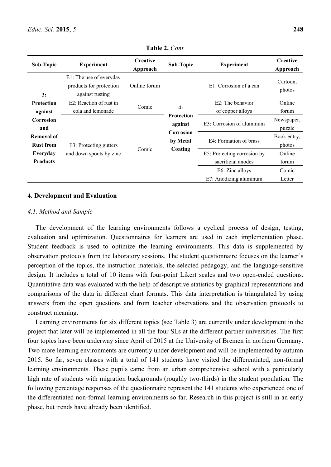| <b>Sub-Topic</b>                      | <b>Experiment</b>                                                     | Creative<br>Approach | <b>Sub-Topic</b>                                                 | <b>Experiment</b>                                                    | Creative<br>Approach     |
|---------------------------------------|-----------------------------------------------------------------------|----------------------|------------------------------------------------------------------|----------------------------------------------------------------------|--------------------------|
| 3:                                    | E1: The use of everyday<br>products for protection<br>against rusting | Online forum         |                                                                  | E1: Corrosion of a can                                               | Cartoon.<br>photos       |
| <b>Protection</b><br>against          | E2: Reaction of rust in<br>cola and lemonade                          | Comic                | 4:                                                               | E2: The behavior<br>of copper alloys                                 | Online<br>forum          |
| Corrosion<br>and                      | E3: Protecting gutters<br>and down spouts by zinc                     | Comic                | <b>Protection</b><br>against<br>Corrosion<br>by Metal<br>Coating | E3: Corrosion of aluminum                                            | Newspaper,<br>puzzle     |
| <b>Removal of</b><br><b>Rust from</b> |                                                                       |                      |                                                                  | E4: Formation of brass                                               | Book entry,<br>photos    |
| Everyday<br><b>Products</b>           |                                                                       |                      |                                                                  | E5: Protecting corrosion by<br>sacrificial anodes<br>E6: Zinc alloys | Online<br>forum<br>Comic |
|                                       |                                                                       |                      |                                                                  | E7: Anodizing aluminum                                               | Letter                   |

**Table 2.** *Cont.*

#### **4. Development and Evaluation**

#### *4.1. Method and Sample*

The development of the learning environments follows a cyclical process of design, testing, evaluation and optimization. Questionnaires for learners are used in each implementation phase. Student feedback is used to optimize the learning environments. This data is supplemented by observation protocols from the laboratory sessions. The student questionnaire focuses on the learner's perception of the topics, the instruction materials, the selected pedagogy, and the language-sensitive design. It includes a total of 10 items with four-point Likert scales and two open-ended questions. Quantitative data was evaluated with the help of descriptive statistics by graphical representations and comparisons of the data in different chart formats. This data interpretation is triangulated by using answers from the open questions and from teacher observations and the observation protocols to construct meaning.

Learning environments for six different topics (see Table 3) are currently under development in the project that later will be implemented in all the four SLs at the different partner universities. The first four topics have been underway since April of 2015 at the University of Bremen in northern Germany. Two more learning environments are currently under development and will be implemented by autumn 2015. So far, seven classes with a total of 141 students have visited the differentiated, non-formal learning environments. These pupils came from an urban comprehensive school with a particularly high rate of students with migration backgrounds (roughly two-thirds) in the student population. The following percentage responses of the questionnaire represent the 141 students who experienced one of the differentiated non-formal learning environments so far. Research in this project is still in an early phase, but trends have already been identified.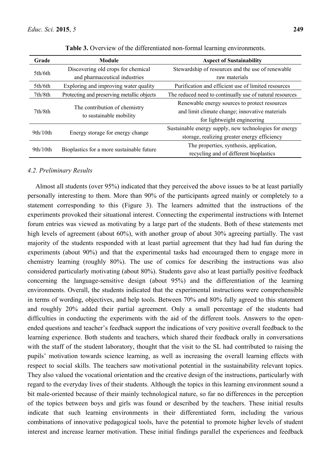| Grade    | <b>Module</b>                                            | <b>Aspect of Sustainability</b>                          |  |  |
|----------|----------------------------------------------------------|----------------------------------------------------------|--|--|
| 5th/6th  | Discovering old crops for chemical                       | Stewardship of resources and the use of renewable        |  |  |
|          | and pharmaceutical industries                            | raw materials                                            |  |  |
| 5th/6th  | Exploring and improving water quality                    | Purification and efficient use of limited resources      |  |  |
| 7th/8th  | Protecting and preserving metallic objects               | The reduced need to continually use of natural resources |  |  |
|          |                                                          | Renewable energy sources to protect resources            |  |  |
| 7th/8th  | The contribution of chemistry<br>to sustainable mobility | and limit climate change; innovative materials           |  |  |
|          |                                                          | for lightweight engineering                              |  |  |
| 9th/10th | Energy storage for energy change                         | Sustainable energy supply, new technologies for energy   |  |  |
|          |                                                          | storage, realizing greater energy efficiency             |  |  |
|          |                                                          | The properties, synthesis, application,                  |  |  |
| 9th/10th | Bioplastics for a more sustainable future                | recycling and of different bioplastics                   |  |  |

**Table 3.** Overview of the differentiated non-formal learning environments.

#### *4.2. Preliminary Results*

Almost all students (over 95%) indicated that they perceived the above issues to be at least partially personally interesting to them. More than 90% of the participants agreed mainly or completely to a statement corresponding to this (Figure 3). The learners admitted that the instructions of the experiments provoked their situational interest. Connecting the experimental instructions with Internet forum entries was viewed as motivating by a large part of the students. Both of these statements met high levels of agreement (about 60%), with another group of about 30% agreeing partially. The vast majority of the students responded with at least partial agreement that they had had fun during the experiments (about 90%) and that the experimental tasks had encouraged them to engage more in chemistry learning (roughly 80%). The use of comics for describing the instructions was also considered particularly motivating (about 80%). Students gave also at least partially positive feedback concerning the language-sensitive design (about 95%) and the differentiation of the learning environments. Overall, the students indicated that the experimental instructions were comprehensible in terms of wording, objectives, and help tools. Between 70% and 80% fully agreed to this statement and roughly 20% added their partial agreement. Only a small percentage of the students had difficulties in conducting the experiments with the aid of the different tools. Answers to the openended questions and teacher's feedback support the indications of very positive overall feedback to the learning experience. Both students and teachers, which shared their feedback orally in conversations with the staff of the student laboratory, thought that the visit to the SL had contributed to raising the pupils' motivation towards science learning, as well as increasing the overall learning effects with respect to social skills. The teachers saw motivational potential in the sustainability relevant topics. They also valued the vocational orientation and the creative design of the instructions, particularly with regard to the everyday lives of their students. Although the topics in this learning environment sound a bit male-oriented because of their mainly technological nature, so far no differences in the perception of the topics between boys and girls was found or described by the teachers. These initial results indicate that such learning environments in their differentiated form, including the various combinations of innovative pedagogical tools, have the potential to promote higher levels of student interest and increase learner motivation. These initial findings parallel the experiences and feedback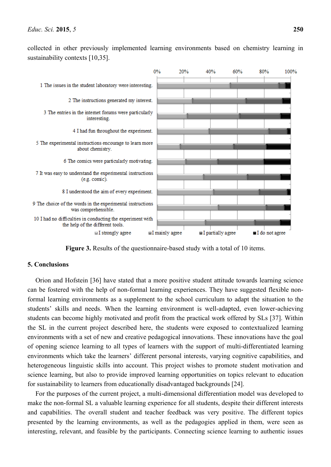collected in other previously implemented learning environments based on chemistry learning in sustainability contexts [10,35].



**Figure 3.** Results of the questionnaire-based study with a total of 10 items.

# **5. Conclusions**

Orion and Hofstein [36] have stated that a more positive student attitude towards learning science can be fostered with the help of non-formal learning experiences. They have suggested flexible nonformal learning environments as a supplement to the school curriculum to adapt the situation to the students' skills and needs. When the learning environment is well-adapted, even lower-achieving students can become highly motivated and profit from the practical work offered by SLs [37]. Within the SL in the current project described here, the students were exposed to contextualized learning environments with a set of new and creative pedagogical innovations. These innovations have the goal of opening science learning to all types of learners with the support of multi-differentiated learning environments which take the learners' different personal interests, varying cognitive capabilities, and heterogeneous linguistic skills into account. This project wishes to promote student motivation and science learning, but also to provide improved learning opportunities on topics relevant to education for sustainability to learners from educationally disadvantaged backgrounds [24].

For the purposes of the current project, a multi-dimensional differentiation model was developed to make the non-formal SL a valuable learning experience for all students, despite their different interests and capabilities. The overall student and teacher feedback was very positive. The different topics presented by the learning environments, as well as the pedagogies applied in them, were seen as interesting, relevant, and feasible by the participants. Connecting science learning to authentic issues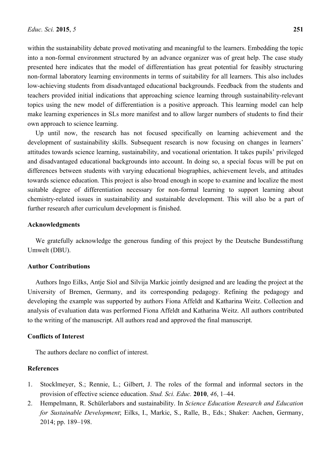within the sustainability debate proved motivating and meaningful to the learners. Embedding the topic into a non-formal environment structured by an advance organizer was of great help. The case study presented here indicates that the model of differentiation has great potential for feasibly structuring non-formal laboratory learning environments in terms of suitability for all learners. This also includes low-achieving students from disadvantaged educational backgrounds. Feedback from the students and teachers provided initial indications that approaching science learning through sustainability-relevant topics using the new model of differentiation is a positive approach. This learning model can help make learning experiences in SLs more manifest and to allow larger numbers of students to find their own approach to science learning.

Up until now, the research has not focused specifically on learning achievement and the development of sustainability skills. Subsequent research is now focusing on changes in learners' attitudes towards science learning, sustainability, and vocational orientation. It takes pupils' privileged and disadvantaged educational backgrounds into account. In doing so, a special focus will be put on differences between students with varying educational biographies, achievement levels, and attitudes towards science education. This project is also broad enough in scope to examine and localize the most suitable degree of differentiation necessary for non-formal learning to support learning about chemistry-related issues in sustainability and sustainable development. This will also be a part of further research after curriculum development is finished.

#### **Acknowledgments**

We gratefully acknowledge the generous funding of this project by the Deutsche Bundesstiftung Umwelt (DBU).

#### **Author Contributions**

Authors Ingo Eilks, Antje Siol and Silvija Markic jointly designed and are leading the project at the University of Bremen, Germany, and its corresponding pedagogy. Refining the pedagogy and developing the example was supported by authors Fiona Affeldt and Katharina Weitz. Collection and analysis of evaluation data was performed Fiona Affeldt and Katharina Weitz. All authors contributed to the writing of the manuscript. All authors read and approved the final manuscript.

#### **Conflicts of Interest**

The authors declare no conflict of interest.

# **References**

- 1. Stocklmeyer, S.; Rennie, L.; Gilbert, J. The roles of the formal and informal sectors in the provision of effective science education. *Stud. Sci. Educ.* **2010**, *46*, 1–44.
- 2. Hempelmann, R. Schülerlabors and sustainability. In *Science Education Research and Education for Sustainable Development*; Eilks, I., Markic, S., Ralle, B., Eds.; Shaker: Aachen, Germany, 2014; pp. 189–198.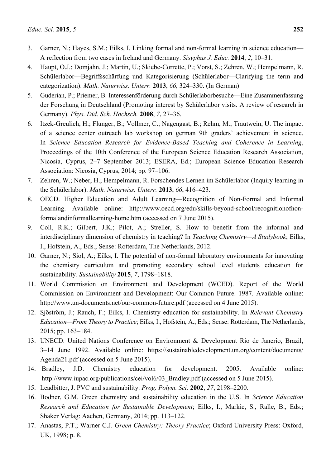- 3. Garner, N.; Hayes, S.M.; Eilks, I. Linking formal and non-formal learning in science education— A reflection from two cases in Ireland and Germany. *Sisyphus J. Educ.* **2014**, *2*, 10–31.
- 4. Haupt, O.J.; Domjahn, J.; Martin, U.; Skiebe-Corrette, P.; Vorst, S.; Zehren, W.; Hempelmann, R. Schülerlabor—Begriffsschärfung und Kategorisierung (Schülerlabor—Clarifying the term and categorization). *Math. Naturwiss. Unterr.* **2013**, *66*, 324–330. (In German)
- 5. Guderian, P.; Priemer, B. Interessenförderung durch Schülerlaborbesuche—Eine Zusammenfassung der Forschung in Deutschland (Promoting interest by Schülerlabor visits. A review of research in Germany). *Phys. Did. Sch. Hochsch.* **2008**, *7*, 27–36.
- 6. Itzek-Greulich, H.; Flunger, B.; Vollmer, C.; Nagengast, B.; Rehm, M.; Trautwein, U. The impact of a science center outreach lab workshop on german 9th graders' achievement in science. In *Science Education Research for Evidence-Based Teaching and Coherence in Learning*, Proceedings of the 10th Conference of the European Science Education Research Association, Nicosia, Cyprus, 2–7 September 2013; ESERA, Ed.; European Science Education Research Association: Nicosia, Cyprus, 2014; pp. 97–106.
- 7. Zehren, W.; Neber, H.; Hempelmann, R. Forschendes Lernen im Schülerlabor (Inquiry learning in the Schülerlabor). *Math. Naturwiss. Unterr.* **2013**, *66*, 416–423.
- 8. OECD. Higher Education and Adult Learning—Recognition of Non-Formal and Informal Learning. Available online: http://www.oecd.org/edu/skills-beyond-school/recognitionofnonformalandinformallearning-home.htm (accessed on 7 June 2015).
- 9. Coll, R.K.; Gilbert, J.K.; Pilot, A.; Streller, S. How to benefit from the informal and interdisciplinary dimension of chemistry in teaching? In *Teaching Chemistry—A Studybook*; Eilks, I., Hofstein, A., Eds.; Sense: Rotterdam, The Netherlands, 2012.
- 10. Garner, N.; Siol, A.; Eilks, I. The potential of non-formal laboratory environments for innovating the chemistry curriculum and promoting secondary school level students education for sustainability*. Sustainability* **2015**, *7*, 1798–1818.
- 11. World Commission on Environment and Development (WCED). Report of the World Commission on Environment and Development: Our Common Future. 1987. Available online: http://www.un-documents.net/our-common-future.pdf (accessed on 4 June 2015).
- 12. Sjöström, J.; Rauch, F.; Eilks, I. Chemistry education for sustainability. In *Relevant Chemistry Education—From Theory to Practice*; Eilks, I., Hofstein, A., Eds.; Sense: Rotterdam, The Netherlands, 2015; pp. 163–184.
- 13. UNECD. United Nations Conference on Environment & Development Rio de Janerio, Brazil, 3–14 June 1992. Available online: https://sustainabledevelopment.un.org/content/documents/ Agenda21.pdf (accessed on 5 June 2015).
- 14. Bradley, J.D. Chemistry education for development. 2005. Available online: http://www.iupac.org/publications/cei/vol6/03 Bradley.pdf (accessed on 5 June 2015).
- 15. Leadbitter, J. PVC and sustainability. *Prog. Polym. Sci.* **2002**, *27*, 2198–2200.
- 16. Bodner, G.M. Green chemistry and sustainability education in the U.S. In *Science Education Research and Education for Sustainable Development*; Eilks, I., Markic, S., Ralle, B., Eds.; Shaker Verlag: Aachen, Germany, 2014; pp. 113–122.
- 17. Anastas, P.T.; Warner C.J. *Green Chemistry: Theory Practice*; Oxford University Press: Oxford, UK, 1998; p. 8.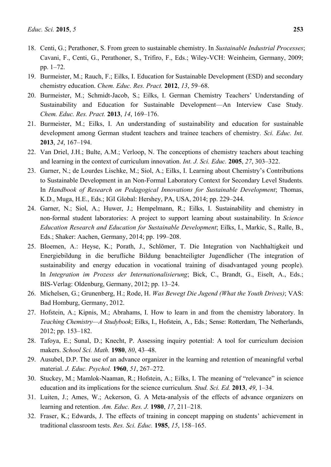- 18. Centi, G.; Perathoner, S. From green to sustainable chemistry. In *Sustainable Industrial Processes*; Cavani, F., Centi, G., Perathoner, S., Trifiro, F., Eds.; Wiley-VCH: Weinheim, Germany, 2009; pp. 1–72.
- 19. Burmeister, M.; Rauch, F.; Eilks, I. Education for Sustainable Development (ESD) and secondary chemistry education. *Chem. Educ. Res. Pract.* **2012**, *13*, 59–68.
- 20. Burmeister, M.; Schmidt-Jacob, S.; Eilks, I. German Chemistry Teachers' Understanding of Sustainability and Education for Sustainable Development—An Interview Case Study*. Chem. Educ. Res. Pract.* **2013**, *14*, 169–176.
- 21. Burmeister, M.; Eilks, I. An understanding of sustainability and education for sustainable development among German student teachers and trainee teachers of chemistry*. Sci. Educ. Int.* **2013**, *24*, 167–194.
- 22. Van Driel, J.H.; Bulte, A.M.; Verloop, N. The conceptions of chemistry teachers about teaching and learning in the context of curriculum innovation. *Int. J. Sci. Educ.* **2005**, *27*, 303–322.
- 23. Garner, N.; de Lourdes Lischke, M.; Siol, A.; Eilks, I. Learning about Chemistry's Contributions to Sustainable Development in an Non-Formal Laboratory Context for Secondary Level Students*.* In *Handbook of Research on Pedagogical Innovations for Sustainable Development*; Thomas, K.D., Muga, H.E., Eds.; IGI Global: Hershey, PA, USA, 2014; pp. 229–244.
- 24. Garner, N.; Siol, A.; Huwer, J.; Hempelmann, R.; Eilks, I. Sustainability and chemistry in non-formal student laboratories: A project to support learning about sustainability*.* In *Science Education Research and Education for Sustainable Development*; Eilks, I., Markic, S., Ralle, B., Eds.; Shaker: Aachen, Germany, 2014; pp. 199–208.
- 25. Bloemen, A.: Heyse, K.; Porath, J., Schlömer, T. Die Integration von Nachhaltigkeit und Energiebildung in die berufliche Bildung benachteiligter Jugendlicher (The integration of sustainability and energy education in vocational training of disadvantaged young people). In *Integration im Prozess der Internationalisierung*; Bick, C., Brandt, G., Eiselt, A., Eds.; BIS-Verlag: Oldenburg, Germany, 2012; pp. 13–24.
- 26. Michelsen, G.; Grunenberg, H.; Rode, H. *Was Bewegt Die Jugend (What the Youth Drives)*; VAS: Bad Homburg, Germany, 2012.
- 27. Hofstein, A.; Kipnis, M.; Abrahams, I. How to learn in and from the chemistry laboratory. In *Teaching Chemistry—A Studybook*; Eilks, I., Hofstein, A., Eds.; Sense: Rotterdam, The Netherlands, 2012; pp. 153–182.
- 28. Tafoya, E.; Sunal, D.; Knecht, P. Assessing inquiry potential: A tool for curriculum decision makers. *School Sci. Math.* **1980**, *80*, 43–48.
- 29. Ausubel, D.P. The use of an advance organizer in the learning and retention of meaningful verbal material. *J. Educ. Psychol.* **1960**, *51*, 267–272.
- 30. Stuckey, M.; Mamlok-Naaman, R.; Hofstein, A.; Eilks, I. The meaning of "relevance" in science education and its implications for the science curriculum*. Stud. Sci. Ed.* **2013**, *49*, 1–34.
- 31. Luiten, J.; Ames, W.; Ackerson, G. A Meta-analysis of the effects of advance organizers on learning and retention. *Am. Educ. Res. J.* **1980**, *17*, 211–218.
- 32. Fraser, K.; Edwards, J. The effects of training in concept mapping on students' achievement in traditional classroom tests. *Res. Sci. Educ.* **1985**, *15*, 158–165.